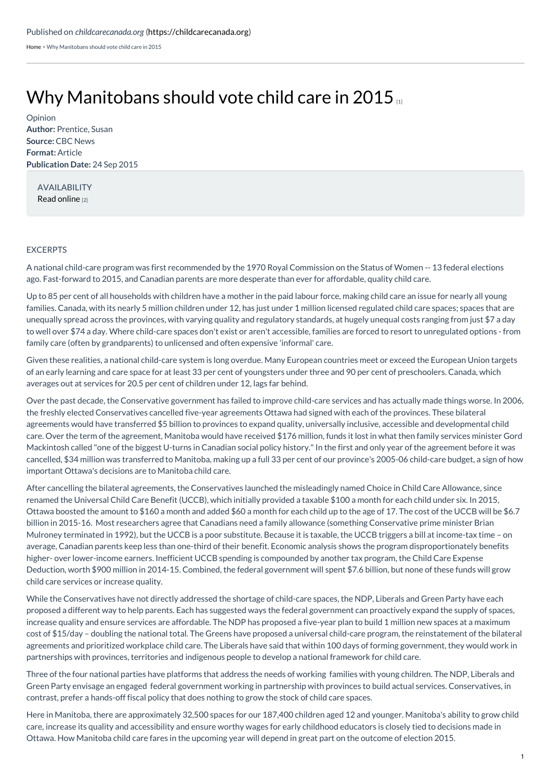[Home](https://childcarecanada.org/) > Why Manitobans should vote child care in 2015

## Why [Manitobans](https://childcarecanada.org/documents/child-care-news/15/09/why-manitobans-should-vote-child-care-2015) should vote child care in 2015

**Author:** Prentice, Susan **Source:** CBC News **Format:** Article **Publication Date:** 24 Sep 2015 Opinion

AVAILABILITY Read [online](https://www.cbc.ca/news/canada/manitoba/why-manitobans-should-vote-child-care-in-2015-1.3242082) [2]

## **EXCERPTS**

A national child-care program was first recommended by the 1970 Royal Commission on the Status of Women -- 13 federal elections ago. Fast-forward to 2015, and Canadian parents are more desperate than ever for affordable, quality child care.

Up to 85 per cent of all households with children have a mother in the paid labour force, making child care an issue for nearly all young families. Canada, with its nearly 5 million children under 12, has just under 1 million licensed regulated child care spaces; spaces that are unequally spread across the provinces, with varying quality and regulatory standards, at hugely unequal costs ranging from just \$7 a day to well over \$74 a day. Where child-care spaces don't exist or aren't accessible, families are forced to resort to unregulated options - from family care (often by grandparents) to unlicensed and often expensive 'informal' care.

Given these realities, a national child-care system is long overdue. Many European countries meet or exceed the European Union targets of an early learning and care space for at least 33 per cent of youngsters under three and 90 per cent of preschoolers. Canada, which averages out at services for 20.5 per cent of children under 12, lags far behind.

Over the past decade, the Conservative government has failed to improve child-care services and has actually made things worse. In 2006, the freshly elected Conservatives cancelled five-year agreements Ottawa had signed with each of the provinces. These bilateral agreements would have transferred \$5 billion to provinces to expand quality, universally inclusive, accessible and developmental child care. Over the term of the agreement, Manitoba would have received \$176 million, funds it lost in what then family services minister Gord Mackintosh called "one of the biggest U-turns in Canadian social policy history."In the first and only year of the agreement before it was cancelled, \$34 million was transferred to Manitoba, making up a full 33 per cent of our province's 2005-06 child-care budget, a sign of how important Ottawa's decisions are to Manitoba child care.

After cancelling the bilateral agreements, the Conservatives launched the misleadingly named Choice in Child Care Allowance, since renamed the Universal Child Care Benefit (UCCB), which initially provided a taxable \$100 a month for each child under six. In 2015, Ottawa boosted the amount to \$160 a month and added \$60 a month for each child up to the age of 17. The cost of the UCCB will be \$6.7 billion in 2015-16. Most researchers agree that Canadians need a family allowance (something Conservative prime minister Brian Mulroney terminated in 1992), but the UCCB is a poor substitute. Because it is taxable, the UCCB triggers a bill at income-tax time – on average, Canadian parents keep less than one-third of their benefit. Economic analysis shows the program disproportionately benefits higher- over lower-income earners. Inefficient UCCB spending is compounded by another tax program, the Child Care Expense Deduction, worth \$900 million in 2014-15. Combined, the federal government will spent \$7.6 billion, but none of these funds will grow child care services or increase quality.

While the Conservatives have not directly addressed the shortage of child-care spaces, the NDP, Liberals and Green Party have each proposed a different way to help parents. Each has suggested ways the federal government can proactively expand the supply of spaces, increase quality and ensure services are affordable. The NDP has proposed a five-year plan to build 1 million new spaces at a maximum cost of \$15/day – doubling the national total. The Greens have proposed a universal child-care program, the reinstatement of the bilateral agreements and prioritized workplace child care. The Liberals have said that within 100 days of forming government, they would work in partnerships with provinces, territories and indigenous people to develop a national framework for child care.

Three of the four national parties have platforms that address the needs of working families with young children. The NDP, Liberals and Green Party envisage an engaged federal government working in partnership with provinces to build actual services. Conservatives, in contrast, prefer a hands-off fiscal policy that does nothing to grow the stock of child care spaces.

Here in Manitoba, there are approximately 32,500 spaces for our 187,400 children aged 12 and younger. Manitoba's ability to grow child care, increase its quality and accessibility and ensure worthy wages for early childhood educators is closely tied to decisions made in Ottawa. How Manitoba child care fares in the upcoming year will depend in great part on the outcome of election 2015.